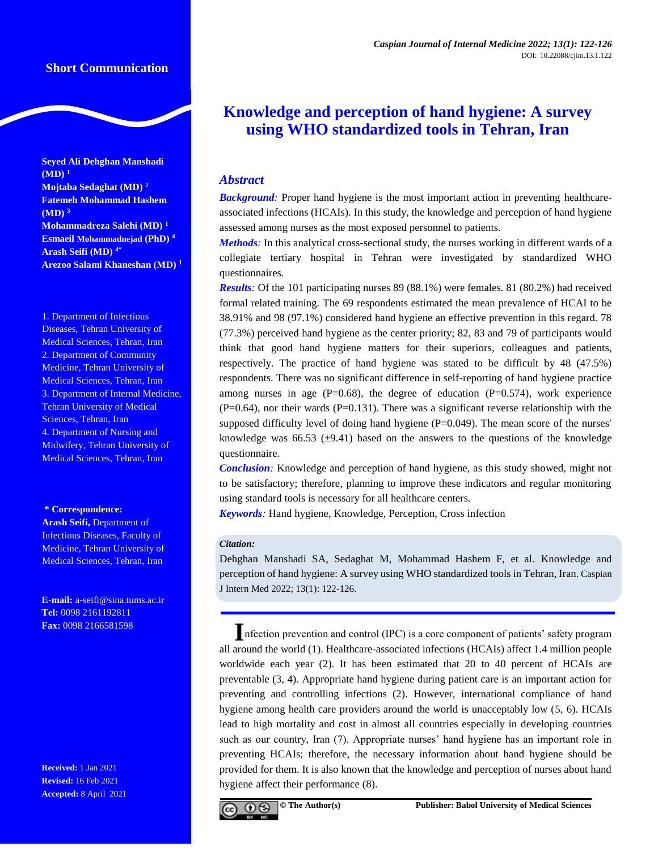# **Short Communication**

**Seyed Ali Dehghan Manshadi (MD) <sup>1</sup> Mojtaba Sedaghat (MD) <sup>2</sup> Fatemeh Mohammad Hashem (MD) <sup>3</sup> Mohammadreza Salehi (MD) <sup>1</sup> Esmaeil Mohammadnejad (PhD) <sup>4</sup> Arash Seifi (MD) 4\* Arezoo Salami Khaneshan (MD) <sup>1</sup>**

1. Department of Infectious Diseases, Tehran University of Medical Sciences, Tehran, Iran 2. Department of Community Medicine, Tehran University of Medical Sciences, Tehran, Iran 3. Department of Internal Medicine, Tehran University of Medical Sciences, Tehran, Iran 4. Department of Nursing and Midwifery, Tehran University of Medical Sciences, Tehran, Iran

#### **\* Correspondence:**

**Arash Seifi,** Department of Infectious Diseases, Faculty of Medicine, Tehran University of Medical Sciences, Tehran, Iran

**E-mail:** a-seifi@sina.tums.ac.ir **Tel:** 0098 2161192811 **Fax:** 0098 2166581598

**Received:** 1 Jan 2021 **Revised:** 16 Feb 2021 **Accepted:** 8 April 2021

# **Knowledge and perception of hand hygiene: A survey using WHO standardized tools in Tehran, Iran**

# *Abstract*

*Background:* Proper hand hygiene is the most important action in preventing healthcareassociated infections (HCAIs). In this study, the knowledge and perception of hand hygiene assessed among nurses as the most exposed personnel to patients.

*Methods:* In this analytical cross-sectional study, the nurses working in different wards of a collegiate tertiary hospital in Tehran were investigated by standardized WHO questionnaires.

*Results:* Of the 101 participating nurses 89 (88.1%) were females. 81 (80.2%) had received formal related training. The 69 respondents estimated the mean prevalence of HCAI to be 38.91% and 98 (97.1%) considered hand hygiene an effective prevention in this regard. 78 (77.3%) perceived hand hygiene as the center priority; 82, 83 and 79 of participants would think that good hand hygiene matters for their superiors, colleagues and patients, respectively. The practice of hand hygiene was stated to be difficult by 48 (47.5%) respondents. There was no significant difference in self-reporting of hand hygiene practice among nurses in age  $(P=0.68)$ , the degree of education  $(P=0.574)$ , work experience  $(P=0.64)$ , nor their wards  $(P=0.131)$ . There was a significant reverse relationship with the supposed difficulty level of doing hand hygiene  $(P=0.049)$ . The mean score of the nurses' knowledge was 66.53 ( $\pm$ 9.41) based on the answers to the questions of the knowledge questionnaire.

*Conclusion:* Knowledge and perception of hand hygiene, as this study showed, might not to be satisfactory; therefore, planning to improve these indicators and regular monitoring using standard tools is necessary for all healthcare centers.

*Keywords:* Hand hygiene, Knowledge, Perception, Cross infection

#### *Citation:*

Dehghan Manshadi SA, Sedaghat M, Mohammad Hashem F, et al. Knowledge and perception of hand hygiene: A survey using WHO standardized tools in Tehran, Iran. Caspian J Intern Med 2022; 13(1): 122-126.

**I**nfection prevention and control (IPC) is a core component of patients' safety program all around the world (1). Healthcare-associated infections (HCAIs) affect 1.4 million people worldwide each year (2). It has been estimated that 20 to 40 percent of HCAIs are preventable (3, 4). Appropriate hand hygiene during patient care is an important action for preventing and controlling infections (2). However, international compliance of hand hygiene among health care providers around the world is unacceptably low (5, 6). HCAIs lead to high mortality and cost in almost all countries especially in developing countries such as our country, Iran (7). Appropriate nurses' hand hygiene has an important role in preventing HCAIs; therefore, the necessary information about hand hygiene should be provided for them. It is also known that the knowledge and perception of nurses about hand hygiene affect their performance (8).

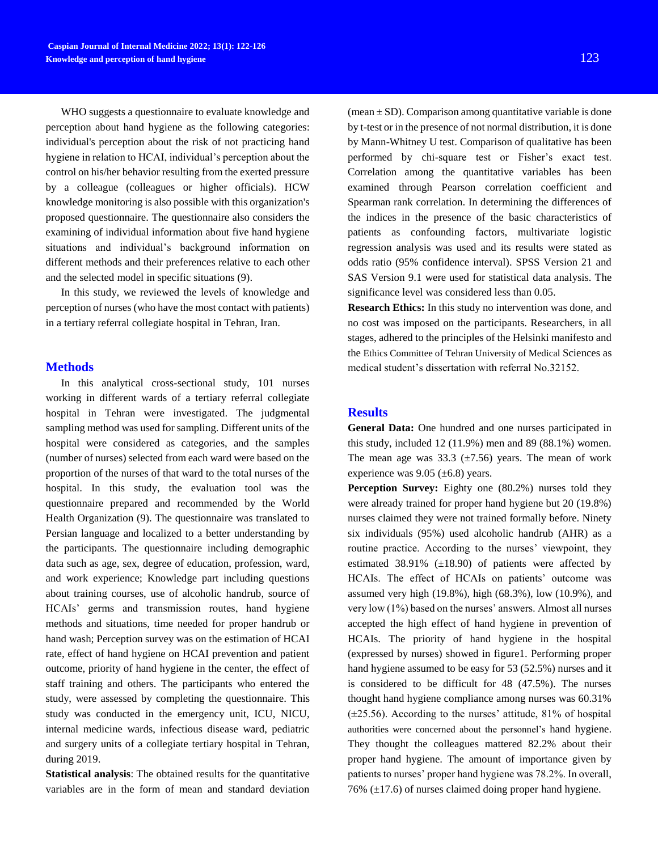WHO suggests a questionnaire to evaluate knowledge and perception about hand hygiene as the following categories: individual's perception about the risk of not practicing hand hygiene in relation to HCAI, individual's perception about the control on his/her behavior resulting from the exerted pressure by a colleague (colleagues or higher officials). HCW knowledge monitoring is also possible with this organization's proposed questionnaire. The questionnaire also considers the examining of individual information about five hand hygiene situations and individual's background information on different methods and their preferences relative to each other and the selected model in specific situations (9).

In this study, we reviewed the levels of knowledge and perception of nurses (who have the most contact with patients) in a tertiary referral collegiate hospital in Tehran, Iran.

### **Methods**

In this analytical cross-sectional study, 101 nurses working in different wards of a tertiary referral collegiate hospital in Tehran were investigated. The judgmental sampling method was used for sampling. Different units of the hospital were considered as categories, and the samples (number of nurses) selected from each ward were based on the proportion of the nurses of that ward to the total nurses of the hospital. In this study, the evaluation tool was the questionnaire prepared and recommended by the World Health Organization (9). The questionnaire was translated to Persian language and localized to a better understanding by the participants. The questionnaire including demographic data such as age, sex, degree of education, profession, ward, and work experience; Knowledge part including questions about training courses, use of alcoholic handrub, source of HCAIs' germs and transmission routes, hand hygiene methods and situations, time needed for proper handrub or hand wash; Perception survey was on the estimation of HCAI rate, effect of hand hygiene on HCAI prevention and patient outcome, priority of hand hygiene in the center, the effect of staff training and others. The participants who entered the study, were assessed by completing the questionnaire. This study was conducted in the emergency unit, ICU, NICU, internal medicine wards, infectious disease ward, pediatric and surgery units of a collegiate tertiary hospital in Tehran, during 2019.

**Statistical analysis**: The obtained results for the quantitative variables are in the form of mean and standard deviation

(mean  $\pm$  SD). Comparison among quantitative variable is done by t-test or in the presence of not normal distribution, it is done by Mann-Whitney U test. Comparison of qualitative has been performed by chi-square test or Fisher's exact test. Correlation among the quantitative variables has been examined through Pearson correlation coefficient and Spearman rank correlation. In determining the differences of the indices in the presence of the basic characteristics of

patients as confounding factors, multivariate logistic regression analysis was used and its results were stated as odds ratio (95% confidence interval). SPSS Version 21 and SAS Version 9.1 were used for statistical data analysis. The significance level was considered less than 0.05.

**Research Ethics:** In this study no intervention was done, and no cost was imposed on the participants. Researchers, in all stages, adhered to the principles of the Helsinki manifesto and the Ethics Committee of Tehran University of Medical Sciences as medical student's dissertation with referral No.32152.

### **Results**

**General Data:** One hundred and one nurses participated in this study, included 12 (11.9%) men and 89 (88.1%) women. The mean age was  $33.3$  ( $\pm 7.56$ ) years. The mean of work experience was  $9.05 \ (\pm 6.8)$  years.

**Perception Survey:** Eighty one (80.2%) nurses told they were already trained for proper hand hygiene but 20 (19.8%) nurses claimed they were not trained formally before. Ninety six individuals (95%) used alcoholic handrub (AHR) as a routine practice. According to the nurses' viewpoint, they estimated 38.91%  $(\pm 18.90)$  of patients were affected by HCAIs. The effect of HCAIs on patients' outcome was assumed very high (19.8%), high (68.3%), low (10.9%), and very low (1%) based on the nurses' answers. Almost all nurses accepted the high effect of hand hygiene in prevention of HCAIs. The priority of hand hygiene in the hospital (expressed by nurses) showed in figure1. Performing proper hand hygiene assumed to be easy for 53 (52.5%) nurses and it is considered to be difficult for 48 (47.5%). The nurses thought hand hygiene compliance among nurses was 60.31%  $(\pm 25.56)$ . According to the nurses' attitude, 81% of hospital authorities were concerned about the personnel's hand hygiene. They thought the colleagues mattered 82.2% about their proper hand hygiene. The amount of importance given by patients to nurses' proper hand hygiene was 78.2%. In overall, 76%  $(\pm 17.6)$  of nurses claimed doing proper hand hygiene.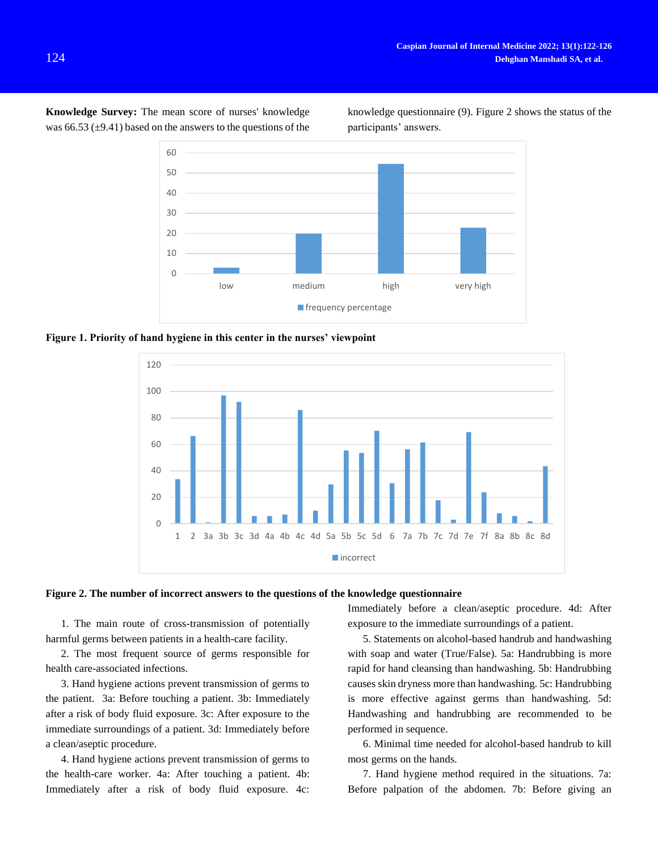**Knowledge Survey:** The mean score of nurses' knowledge was 66.53  $(\pm 9.41)$  based on the answers to the questions of the

knowledge questionnaire (9). Figure 2 shows the status of the participants' answers.



**Figure 1. Priority of hand hygiene in this center in the nurses' viewpoint** 





1. The main route of cross-transmission of potentially harmful germs between patients in a health-care facility.

2. The most frequent source of germs responsible for health care-associated infections.

3. Hand hygiene actions prevent transmission of germs to the patient. 3a: Before touching a patient. 3b: Immediately after a risk of body fluid exposure. 3c: After exposure to the immediate surroundings of a patient. 3d: Immediately before a clean/aseptic procedure.

4. Hand hygiene actions prevent transmission of germs to the health-care worker. 4a: After touching a patient. 4b: Immediately after a risk of body fluid exposure. 4c:

Immediately before a clean/aseptic procedure. 4d: After exposure to the immediate surroundings of a patient.

5. Statements on alcohol-based handrub and handwashing with soap and water (True/False). 5a: Handrubbing is more rapid for hand cleansing than handwashing. 5b: Handrubbing causes skin dryness more than handwashing. 5c: Handrubbing is more effective against germs than handwashing. 5d: Handwashing and handrubbing are recommended to be performed in sequence.

6. Minimal time needed for alcohol-based handrub to kill most germs on the hands.

7. Hand hygiene method required in the situations. 7a: Before palpation of the abdomen. 7b: Before giving an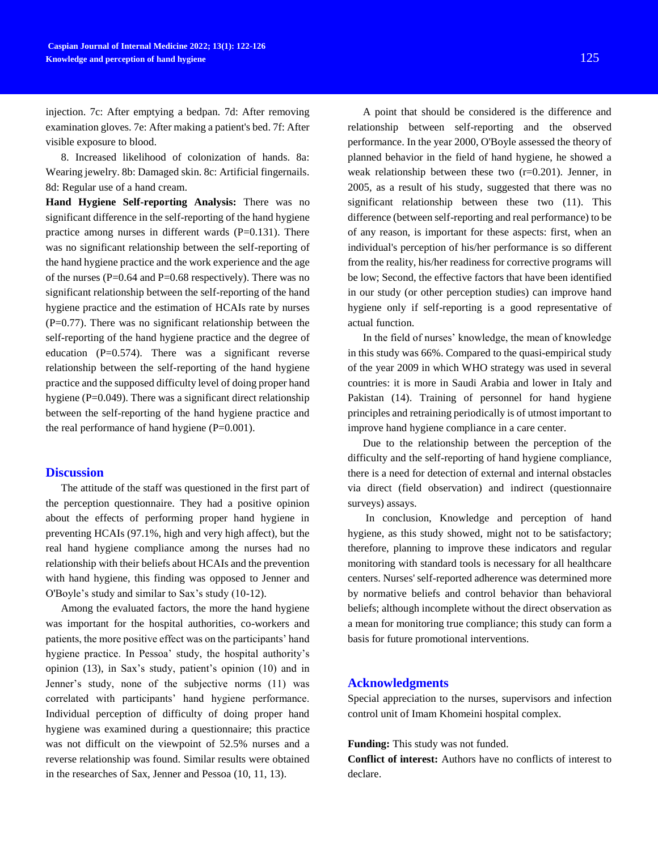injection. 7c: After emptying a bedpan. 7d: After removing examination gloves. 7e: After making a patient's bed. 7f: After visible exposure to blood.

8. Increased likelihood of colonization of hands. 8a: Wearing jewelry. 8b: Damaged skin. 8c: Artificial fingernails. 8d: Regular use of a hand cream.

**Hand Hygiene Self-reporting Analysis:** There was no significant difference in the self-reporting of the hand hygiene practice among nurses in different wards  $(P=0.131)$ . There was no significant relationship between the self-reporting of the hand hygiene practice and the work experience and the age of the nurses ( $P=0.64$  and  $P=0.68$  respectively). There was no significant relationship between the self-reporting of the hand hygiene practice and the estimation of HCAIs rate by nurses  $(P=0.77)$ . There was no significant relationship between the self-reporting of the hand hygiene practice and the degree of education (P=0.574). There was a significant reverse relationship between the self-reporting of the hand hygiene practice and the supposed difficulty level of doing proper hand hygiene (P=0.049). There was a significant direct relationship between the self-reporting of the hand hygiene practice and the real performance of hand hygiene  $(P=0.001)$ .

# **Discussion**

The attitude of the staff was questioned in the first part of the perception questionnaire. They had a positive opinion about the effects of performing proper hand hygiene in preventing HCAIs (97.1%, high and very high affect), but the real hand hygiene compliance among the nurses had no relationship with their beliefs about HCAIs and the prevention with hand hygiene, this finding was opposed to Jenner and O'Boyle's study and similar to Sax's study (10-12).

Among the evaluated factors, the more the hand hygiene was important for the hospital authorities, co-workers and patients, the more positive effect was on the participants' hand hygiene practice. In Pessoa' study, the hospital authority's opinion (13), in Sax's study, patient's opinion (10) and in Jenner's study, none of the subjective norms (11) was correlated with participants' hand hygiene performance. Individual perception of difficulty of doing proper hand hygiene was examined during a questionnaire; this practice was not difficult on the viewpoint of 52.5% nurses and a reverse relationship was found. Similar results were obtained in the researches of Sax, Jenner and Pessoa (10, 11, 13).

A point that should be considered is the difference and relationship between self-reporting and the observed performance. In the year 2000, O'Boyle assessed the theory of planned behavior in the field of hand hygiene, he showed a weak relationship between these two (r=0.201). Jenner, in 2005, as a result of his study, suggested that there was no significant relationship between these two (11). This difference (between self-reporting and real performance) to be of any reason, is important for these aspects: first, when an individual's perception of his/her performance is so different from the reality, his/her readiness for corrective programs will be low; Second, the effective factors that have been identified in our study (or other perception studies) can improve hand hygiene only if self-reporting is a good representative of actual function.

In the field of nurses' knowledge, the mean of knowledge in this study was 66%. Compared to the quasi-empirical study of the year 2009 in which WHO strategy was used in several countries: it is more in Saudi Arabia and lower in Italy and Pakistan (14). Training of personnel for hand hygiene principles and retraining periodically is of utmost important to improve hand hygiene compliance in a care center.

Due to the relationship between the perception of the difficulty and the self-reporting of hand hygiene compliance, there is a need for detection of external and internal obstacles via direct (field observation) and indirect (questionnaire surveys) assays.

In conclusion, Knowledge and perception of hand hygiene, as this study showed, might not to be satisfactory; therefore, planning to improve these indicators and regular monitoring with standard tools is necessary for all healthcare centers. Nurses' self-reported adherence was determined more by normative beliefs and control behavior than behavioral beliefs; although incomplete without the direct observation as a mean for monitoring true compliance; this study can form a basis for future promotional interventions.

### **Acknowledgments**

Special appreciation to the nurses, supervisors and infection control unit of Imam Khomeini hospital complex.

Funding: This study was not funded.

**Conflict of interest:** Authors have no conflicts of interest to declare.